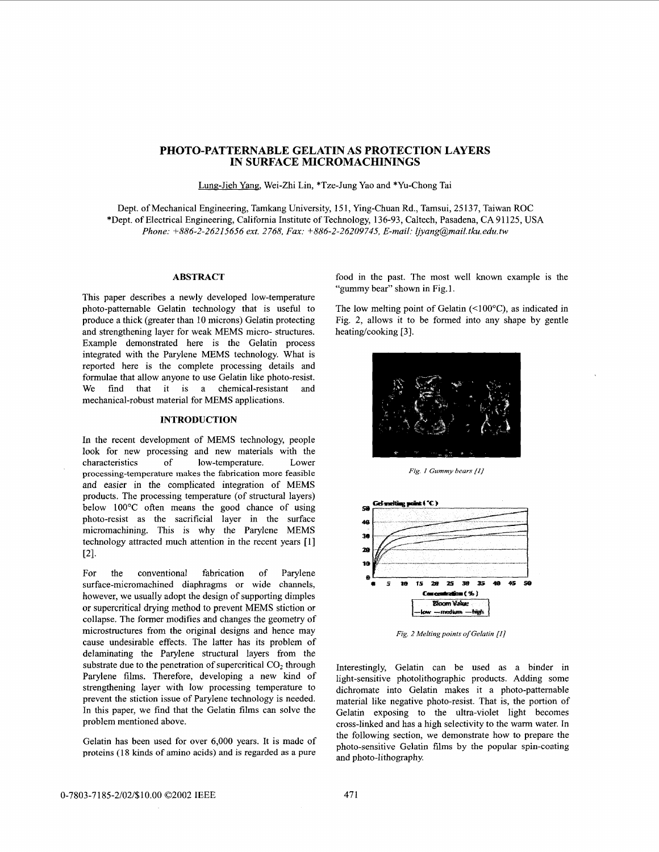# **PHOTO-PATTERNABLE GELATIN AS PROTECTION LAYERS IN SURFACE MICROMACHININGS**

Lung-Jieh, Wei-Zhi Lin, \*Tze-Jung Yao and \*Yu-Chong Tai

Dept. of Mechanical Engineering, Tamkang University, 15 1, Ying-Chuan Rd., Tamsui, 25 137, Taiwan ROC \*Dept. of Electrical Engineering, California Institute of Technology, 136-93, Caltech, Pasadena, CA 91 125, **USA**  *Phone: i-886-2-26215656 ext. 2768, Fax: +886-2-26209745, E-mail: Ijyang@mail.tku.edu.tw* 

#### **ABSTRACT**

This paper describes a newly developed low-temperature<br>photo-patternable Gelatin technology that is useful to photo-patternable Gelatin technology that is useful to The low melting point of Gelatin (<100°C), as indicated in produce a thick (greater than 10 microns) Gelatin protecting Fig. 2, allows it to be formed into any shape b and strengthening layer for weak MEMS micro- structures. heating/cooking [3]. Example demonstrated here is the Gelatin process integrated with the Parylene MEMS technology. What is reported here is the complete processing details and formulae that allow anyone to use Gelatin like photo-resist. We find that it is a chemical-resistant and mechanical-robust material for MEMS applications.

## **INTRODUCTION**

In the recent development of MEMS technology, people look for new processing and new materials with the characteristics of low-temperature. Lower processing-temperature makes the fabrication more feasible and easier in the complicated integration of MEMS products. The processing temperature (of structural layers) below 100°C often means the good chance of using photo-resist as the sacrificial layer in the surface micromachining. This is why the Parylene MEMS technology attracted much attention in the recent years [l] 121.

For the conventional fabrication of Parylene surface-micromachined diaphragms or wide channels, however, we usually adopt the design of supporting dimples or supercritical drying method to prevent MEMS stiction or collapse. The former modifies and changes the geometry of microstructures from the original designs and hence may cause undesirable effects. The latter has its problem of delaminating the Parylene structural layers from the substrate due to the penetration of supercritical  $CO<sub>2</sub>$  through Parylene films. Therefore, developing a new kind of strengthening layer with low processing temperature to prevent the stiction issue of Parylene technology is needed. In this paper, we find that the Gelatin films can solve the problem mentioned above.

Gelatin has been used for over 6,000 years. It is made of proteins (18 kinds of amino acids) and is regarded as a pure

food in the past. The most well known example is the "gummy bear" shown in Fig. 1.

Fig. 2, allows it to be formed into any shape by gentle



*Fig. 1 Gummy bears (11* 



*Fig. 2 Melting points of Gelatin [I]* 

Interestingly, Gelatin can be used as a binder in light-sensitive photolithographic products. Adding some dichromate into Gelatin makes it a photo-patternable material like negative photo-resist. That is, the portion of Gelatin exposing to the ultra-violet light becomes cross-linked and has a high selectivity to the warm water. In the following section, we demonstrate how to prepare the photo-sensitive Gelatin films by the popular spin-coating and photo-lithography.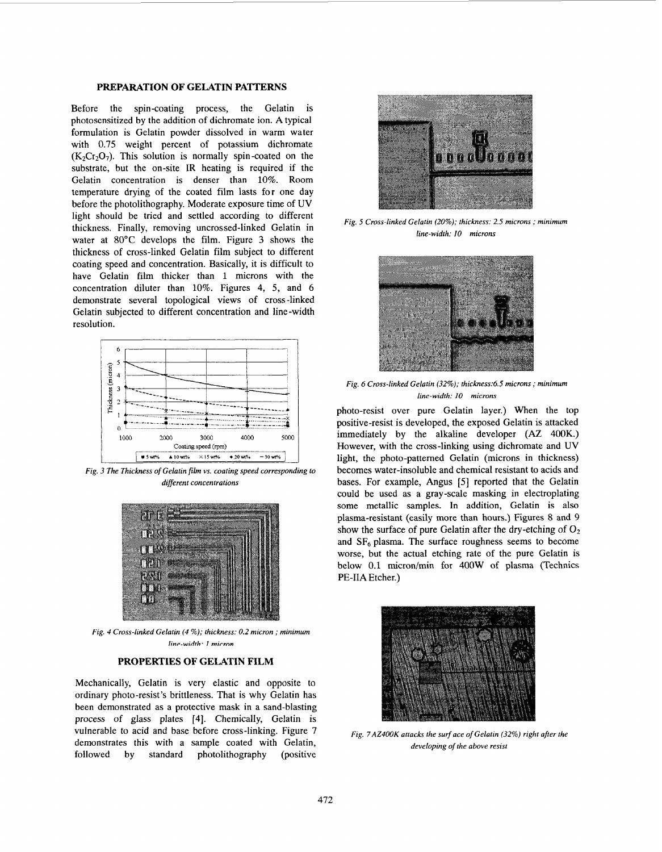## **PREPARATION OF GELATIN PATTERNS**

Before the spin-coating process, the Gelatin is photosensitized by the addition of dichromate ion. **A** typical formulation is Gelatin powder dissolved in warm water with 0.75 weight percent of potassium dichromate  $(K<sub>2</sub>Cr<sub>2</sub>O<sub>7</sub>)$ . This solution is normally spin-coated on the substrate, but the on-site IR heating is required if the Gelatin concentration is denser than 10%. Room temperature drying of the coated film lasts for one day before the photolithography. Moderate exposure time of UV light should be tried and settled according to different thickness. Finally, removing uncrossed-linked Gelatin in water at 80°C develops the film. Figure **3** shows the thickness of cross-linked Gelatin film subject to different coating speed and concentration. Basically, it is difficult to have Gelatin film thicker than 1 microns with the concentration diluter than 10%. Figures **4,** 5, and *6*  demonstrate several topological views of cross -linked Gelatin subjected to different concentration and line-width resolution.



*Fig. 3 The Thickness* of *Gelatin film vs. coating speed corresponding to different concentrations* 



*Fig. 4 Cross-linked Gelatin (4* %); *thickness: 0.2 micron* ; *minimum linp-width. 1 mirrnn* 

#### **PROPERTIES OF GELATIN FILM**

Mechanically, Gelatin is very elastic and opposite to ordinary photo-resist's brittleness. That is why Gelatin has been demonstrated as a protective mask in a sand-blasting process of glass plates **[4].** Chemically, Gelatin is vulnerable to acid and base before cross-linking. Figure 7 demonstrates this with a sample coated with Gelatin, followed by standard photolithography (positive



*Fig. 5 Cross-linked Gelatin (20%); thickness: 2.5 microns* ; *minimum line-width: 10 microns* 



*Fig. 6 Cross-linked Gelatin (32%); thickness:6.5 microns* ; *minimum line-width: 10 microns* 

photo-resist over pure Gelatin layer.) When the top positive-resist is developed, the exposed Gelatin is attacked immediately by the alkaline developer *(AZ* 400K.) However, with the cross-linking using dichromate and **UV**  light, the photo-pattemed Gelatin (microns in thickness) becomes water-insoluble and chemical resistant to acids and bases. For example, *Angus* **[SI** reported that the Gelatin could be used as a gray-scale masking in electroplating some metallic samples. In addition, Gelatin is also plasma-resistant (easily more than hours.) [Figures 8](#page-2-0) and **9**  show the surface of pure Gelatin after the dry-etching of  $O_2$ and  $SF<sub>6</sub>$  plasma. The surface roughness seems to become worse, but the actual etching rate of the pure Gelatin is below 0.1 micron/min for 400W **of** plasma (Technics **PE-IIA** Etcher.)



*Fig. 7AZ400K attacks the surf ace* of *Gelatin (32%) right afier the developing* of *the above resist*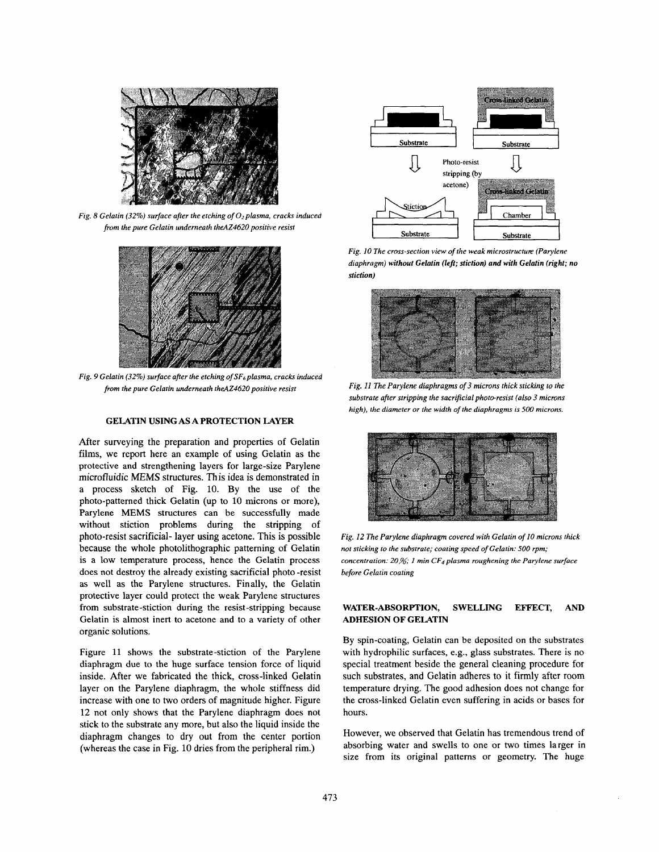<span id="page-2-0"></span>

*Fig. 8 Gelatin (32%) surface after the etching of 02 plasma, cracks induced from the pure Gelatin underneath theAZ4620 positive resist* 



*Fig. 9 Gelatin (32%) surface afler the etching ofSFsplasma, cracks induced fiom the pure Gelatin underneath theAZ4620 positive resist* 

# **GELATIN USING AS A PROTECTION LAYER**

After surveying the preparation and properties of Gelatin films, we report here an example of using Gelatin as the protective and strengthening layers for large-size Parylene microfluidic MEMS structures. This idea is demonstrated in a process sketch of Fig. 10. By the use of the photo-pattemed thick Gelatin (up to 10 microns or more), Parylene **MEMS** structures can be successfully made without stiction problems during the stripping of photo-resist sacrificial- layer using acetone. This is possible because the whole photolithographic patterning of Gelatin is a low temperature process, hence the Gelatin process does not destroy the already existing sacrificial photo -resist as well as the Parylene structures. Finally, the Gelatin protective layer could protect the weak Parylene structures from substrate-stiction during the resist-stripping because Gelatin is almost inert to acetone and to a variety of other organic solutions.

Figure 11 shows the substrate-stiction of the Parylene diaphragm due to the huge surface tension force of liquid inside. After we fabricated the thick, cross-linked Gelatin layer on the Parylene diaphragm, the whole stiffness did increase with one to two orders of magnitude higher. Figure **12** not only shows that the Parylene diaphragm does not stick to the substrate any more, but also the liquid inside the diaphragm changes to dry out from the center portion (whereas the case in Fig. 10 dries from the peripheral rim.)



*Fig. 10 The cross-section view of the weak microstructure (Parylene diaphragm) without Gelatin (left; stiction) and with Gelatin (right; no stiction)* 



*Fig. I1 The Parylene diaphragms of 3 microns thick sticking to the*  substrate after stripping the sacrificial photo-resist (also 3 microns *high), the diameter or the width of the diaphragms is 500 microns.* 



*Fig. 12 The Parylene diaphragm covered with Gelatin of 10 microns thick not sticking to the substrate; coating speed of Gelatin: 500 rpm; concentration: 20%; 1 min CF4 plasma roughening the Parylene surface before Gelatin coating* 

## **WATER-ABSORPTION, SWELLING EFFECT, AND ADHESION OF GELATIN**

By spin-coating, Gelatin can be deposited on the substrates with hydrophilic surfaces, e.g., glass substrates. There is no special treatment beside the general cleaning procedure for such substrates, and Gelatin adheres to it firmly after room temperature drying. The good adhesion does not change for the cross-linked Gelatin even suffering in acids or bases for hours.

However, we observed that Gelatin has tremendous trend of absorbing water and swells to one or two times larger in size from its original pattems or geometry. The huge